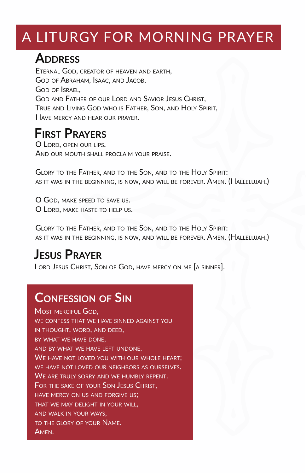# A LITURGY FOR MORNING PRAYER

### **ADDRESS**

ETERNAL GOD, CREATOR OF HEAVEN AND EARTH, GOD OF ABRAHAM, ISAAC, AND JACOB, GOD OF ISRAEL, GOD AND FATHER OF OUR LORD AND SAVIOR JESUS CHRIST, TRUE AND LIVING GOD WHO IS FATHER, SON, AND HOLY SPIRIT, HAVE MERCY AND HEAR OUR PRAYER.

### **FIRST PRAYERS**

O LORD, OPEN OUR LIPS. AND OUR MOUTH SHALL PROCLAIM YOUR PRAISE.

GLORY TO THE FATHER, AND TO THE SON, AND TO THE HOLY SPIRIT: AS IT WAS IN THE BEGINNING, IS NOW, AND WILL BE FOREVER. AMEN. (HALLELUJAH.)

O GOD, MAKE SPEED TO SAVE US. O LORD, MAKE HASTE TO HELP US.

GLORY TO THE FATHER, AND TO THE SON, AND TO THE HOLY SPIRIT: AS IT WAS IN THE BEGINNING, IS NOW, AND WILL BE FOREVER. AMEN. (HALLELUJAH.)

# **JESUS PRAYER**

LORD JESUS CHRIST, SON OF GOD, HAVE MERCY ON ME [A SINNER].

# **CONFESSION OF SIN**

MOST MERCIFUL GOD, WE CONFESS THAT WE HAVE SINNED AGAINST YOU IN THOUGHT, WORD, AND DEED, BY WHAT WE HAVE DONE, AND BY WHAT WE HAVE LEFT UNDONE. WE HAVE NOT LOVED YOU WITH OUR WHOLE HEART. WE HAVE NOT LOVED OUR NEIGHBORS AS OURSELVES. WE ARE TRULY SORRY AND WE HUMBLY REPENT. FOR THE SAKE OF YOUR SON JESUS CHRIST, HAVE MERCY ON US AND FORGIVE US; THAT WE MAY DELIGHT IN YOUR WILL, AND WALK IN YOUR WAYS, TO THE GLORY OF YOUR NAME. AMEN.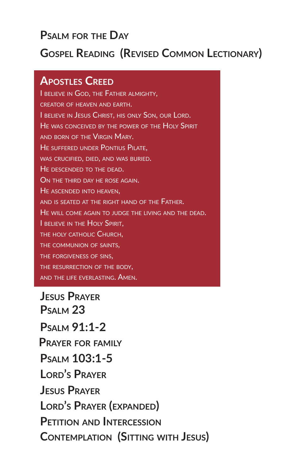#### **PSALM FOR THE DAY**

#### **GOSPEL READING (REVISED COMMON LECTIONARY)**

#### **APOSTLES CREED**

I BELIEVE IN GOD, THE FATHER ALMIGHTY, CREATOR OF HEAVEN AND EARTH. I BELIEVE IN JESUS CHRIST, HIS ONLY SON, OUR LORD. HE WAS CONCEIVED BY THE POWER OF THE HOLY SPIRIT AND BORN OF THE VIRGIN MARY. HE SUFFERED UNDER PONTIUS PILATE. WAS CRUCIFIED, DIED, AND WAS BURIED. HE DESCENDED TO THE DEAD. ON THE THIRD DAY HE ROSE AGAIN. HE ASCENDED INTO HEAVEN, AND IS SEATED AT THE RIGHT HAND OF THE FATHER. HE WILL COME AGAIN TO JUDGE THE LIVING AND THE DEAD. I BELIEVE IN THE HOLY SPIRIT, THE HOLY CATHOLIC CHURCH. THE COMMUNION OF SAINTS, THE FORGIVENESS OF SINS, THE RESURRECTION OF THE BODY, AND THE LIFE EVERLASTING. AMEN.

**JESUS PRAYER CONTEMPLATION (SITTING WITH JESUS) PETITION AND INTERCESSION LORD'S PRAYER (EXPANDED) JESUS PRAYER LORD'S PRAYER PSALM 103:1-5 PRAYER FOR FAMILY PSALM 91:1-2 PSALM 23**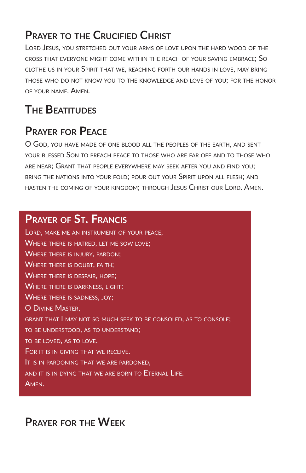#### **PRAYER TO THE CRUCIFIED CHRIST**

LORD JESUS, YOU STRETCHED OUT YOUR ARMS OF LOVE UPON THE HARD WOOD OF THE CROSS THAT EVERYONE MIGHT COME WITHIN THE REACH OF YOUR SAVING EMBRACE; SO CLOTHE US IN YOUR SPIRIT THAT WE, REACHING FORTH OUR HANDS IN LOVE, MAY BRING THOSE WHO DO NOT KNOW YOU TO THE KNOWLEDGE AND LOVE OF YOU; FOR THE HONOR OF YOUR NAME. AMEN.

### **THE BEATITUDES**

#### **PRAYER FOR PEACE**

O GOD, YOU HAVE MADE OF ONE BLOOD ALL THE PEOPLES OF THE EARTH, AND SENT YOUR BLESSED SON TO PREACH PEACE TO THOSE WHO ARE FAR OFF AND TO THOSE WHO ARE NEAR; GRANT THAT PEOPLE EVERYWHERE MAY SEEK AFTER YOU AND FIND YOU; BRING THE NATIONS INTO YOUR FOLD; POUR OUT YOUR SPIRIT UPON ALL FLESH; AND HASTEN THE COMING OF YOUR KINGDOM; THROUGH JESUS CHRIST OUR LORD. AMEN.

#### **PRAYER OF ST. FRANCIS**

LORD, MAKE ME AN INSTRUMENT OF YOUR PEACE, WHERE THERE IS HATRED, LET ME SOW LOVE; WHERE THERE IS INJURY, PARDON; WHERE THERE IS DOUBT, FAITH; WHERE THERE IS DESPAIR, HOPE; WHERE THERE IS DARKNESS, LIGHT; WHERE THERE IS SADNESS, JOY; O DIVINE MASTER, GRANT THAT I MAY NOT SO MUCH SEEK TO BE CONSOLED, AS TO CONSOLE; TO BE UNDERSTOOD, AS TO UNDERSTAND; TO BE LOVED, AS TO LOVE. FOR IT IS IN GIVING THAT WE RECEIVE. IT IS IN PARDONING THAT WE ARE PARDONED, AND IT IS IN DYING THAT WE ARE BORN TO ETERNAL LIFE. AMEN.

#### **PRAYER FOR THE WEEK**